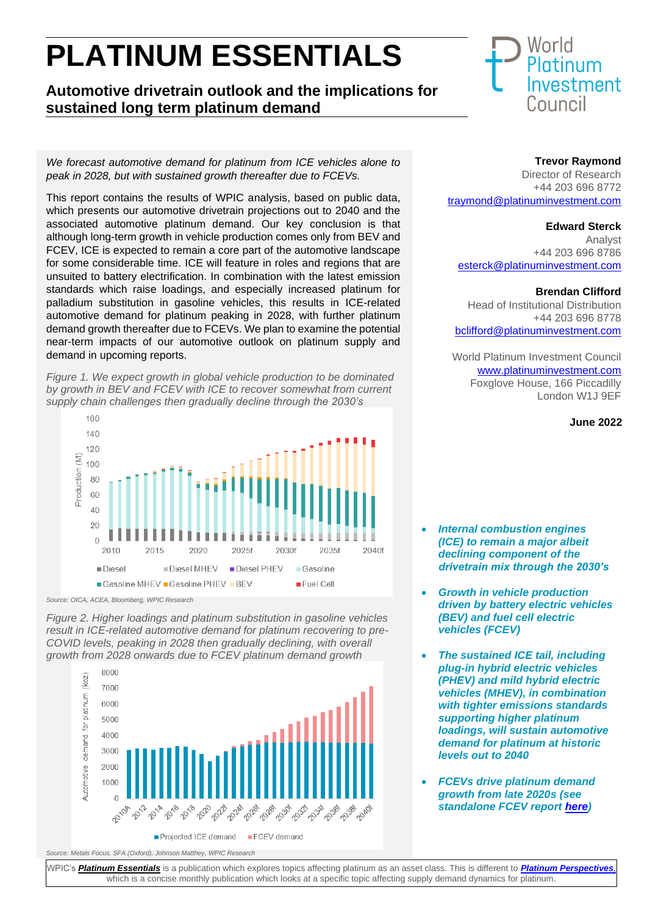# **PLATINUM ESSENTIALS**

## **Automotive drivetrain outlook and the implications for sustained long term platinum demand**

*We forecast automotive demand for platinum from ICE vehicles alone to peak in 2028, but with sustained growth thereafter due to FCEVs.* 

This report contains the results of WPIC analysis, based on public data, which presents our automotive drivetrain projections out to 2040 and the associated automotive platinum demand. Our key conclusion is that although long-term growth in vehicle production comes only from BEV and FCEV, ICE is expected to remain a core part of the automotive landscape for some considerable time. ICE will feature in roles and regions that are unsuited to battery electrification. In combination with the latest emission standards which raise loadings, and especially increased platinum for palladium substitution in gasoline vehicles, this results in ICE-related automotive demand for platinum peaking in 2028, with further platinum demand growth thereafter due to FCEVs. We plan to examine the potential near-term impacts of our automotive outlook on platinum supply and demand in upcoming reports.

*Figure 1. We expect growth in global vehicle production to be dominated by growth in BEV and FCEV with ICE to recover somewhat from current supply chain challenges then gradually decline through the 2030's*



*Source: OICA, ACEA, Bloomberg, WPIC Research*

*Figure 2. Higher loadings and platinum substitution in gasoline vehicles result in ICE-related automotive demand for platinum recovering to pre-COVID levels, peaking in 2028 then gradually declining, with overall growth from 2028 onwards due to FCEV platinum demand growth*



```
World
Platinum
Investment
Council
```
#### **Trevor Raymond**

Director of Research +44 203 696 8772 [traymond@platinuminvestment.com](mailto:traymond@platinuminvestment.com)

#### **Edward Sterck**

Analyst +44 203 696 8786 [esterck@platinumin](mailto:dwilson@platinuminvestment.com)vestment.com

#### **Brendan Clifford**

Head of Institutional Distribution +44 203 696 8778 [bclifford@platinuminvestment.com](mailto:bclifford@platinuminvestment.com)

World Platinum Investment Council [www.platinuminvestment.com](http://www.platinuminvestment.com/) Foxglove House, 166 Piccadilly London W1J 9EF

#### **June 2022**

- *Internal combustion engines (ICE) to remain a major albeit declining component of the drivetrain mix through the 2030's*
- *Growth in vehicle production driven by battery electric vehicles (BEV) and fuel cell electric vehicles (FCEV)*
- *The sustained ICE tail, including plug-in hybrid electric vehicles (PHEV) and mild hybrid electric vehicles (MHEV), in combination with tighter emissions standards supporting higher platinum loadings, will sustain automotive demand for platinum at historic levels out to 2040*
- *FCEVs drive platinum demand growth from late 2020s (see standalone FCEV report [here\)](https://platinuminvestment.com/files/438859/WPIC_Platinum_Essentials_March_2022%20(Potential%20FCEV%20demand).pdf)*

WPIC's *[Platinum Essentials](https://platinuminvestment.com/investment-research)* is a publication which explores topics affecting platinum as an asset class. This is different to *[Platinum Perspectives](https://platinuminvestment.com/investment-research/perspectives)*, which is a concise monthly publication which looks at a specific topic affecting supply demand dynamics for platinum.

*Source: Metals Focus, SFA (Oxford), Johnson Matthey, WPIC Research*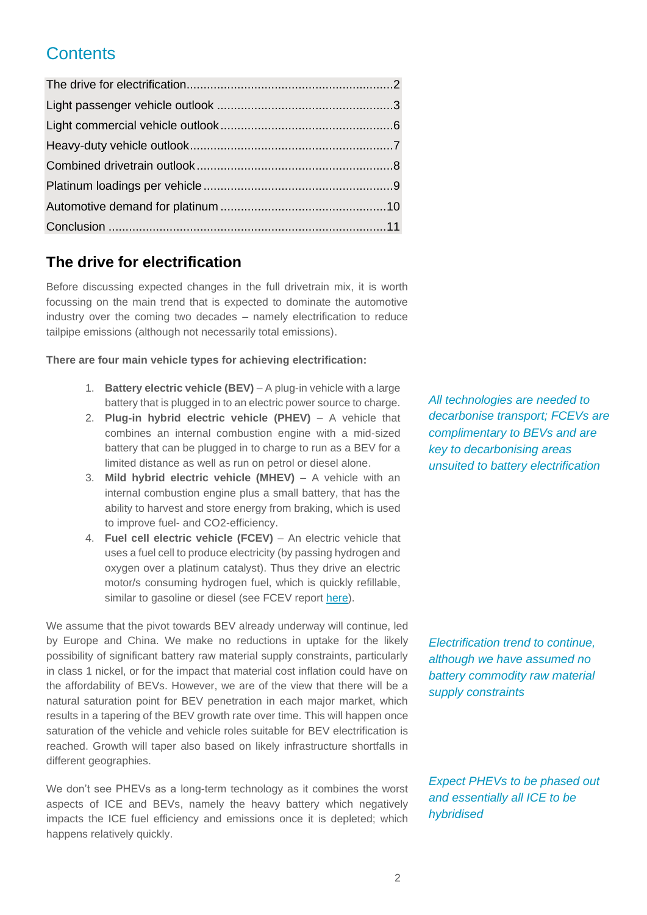## **Contents**

## **The drive for electrification**

Before discussing expected changes in the full drivetrain mix, it is worth focussing on the main trend that is expected to dominate the automotive industry over the coming two decades – namely electrification to reduce tailpipe emissions (although not necessarily total emissions).

**There are four main vehicle types for achieving electrification:**

- 1. **Battery electric vehicle (BEV)** A plug-in vehicle with a large battery that is plugged in to an electric power source to charge.
- 2. **Plug-in hybrid electric vehicle (PHEV)** A vehicle that combines an internal combustion engine with a mid-sized battery that can be plugged in to charge to run as a BEV for a limited distance as well as run on petrol or diesel alone.
- 3. **Mild hybrid electric vehicle (MHEV)** A vehicle with an internal combustion engine plus a small battery, that has the ability to harvest and store energy from braking, which is used to improve fuel- and CO2-efficiency.
- 4. **Fuel cell electric vehicle (FCEV)** An electric vehicle that uses a fuel cell to produce electricity (by passing hydrogen and oxygen over a platinum catalyst). Thus they drive an electric motor/s consuming hydrogen fuel, which is quickly refillable, similar to gasoline or diesel (see FCEV report [here\)](https://platinuminvestment.com/files/438859/WPIC_Platinum_Essentials_March_2022%20(Potential%20FCEV%20demand).pdf).

We assume that the pivot towards BEV already underway will continue, led by Europe and China. We make no reductions in uptake for the likely possibility of significant battery raw material supply constraints, particularly in class 1 nickel, or for the impact that material cost inflation could have on the affordability of BEVs. However, we are of the view that there will be a natural saturation point for BEV penetration in each major market, which results in a tapering of the BEV growth rate over time. This will happen once saturation of the vehicle and vehicle roles suitable for BEV electrification is reached. Growth will taper also based on likely infrastructure shortfalls in different geographies.

We don't see PHEVs as a long-term technology as it combines the worst aspects of ICE and BEVs, namely the heavy battery which negatively impacts the ICE fuel efficiency and emissions once it is depleted; which happens relatively quickly.

*All technologies are needed to decarbonise transport; FCEVs are complimentary to BEVs and are key to decarbonising areas unsuited to battery electrification*

*Electrification trend to continue, although we have assumed no battery commodity raw material supply constraints*

*Expect PHEVs to be phased out and essentially all ICE to be hybridised*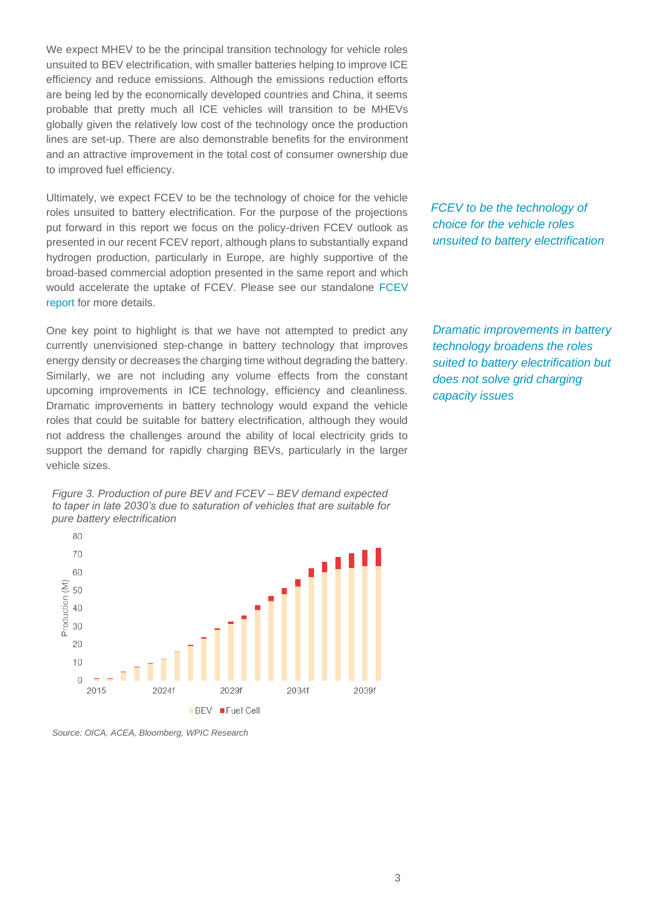We expect MHEV to be the principal transition technology for vehicle roles unsuited to BEV electrification, with smaller batteries helping to improve ICE efficiency and reduce emissions. Although the emissions reduction efforts are being led by the economically developed countries and China, it seems probable that pretty much all ICE vehicles will transition to be MHEVs globally given the relatively low cost of the technology once the production lines are set-up. There are also demonstrable benefits for the environment and an attractive improvement in the total cost of consumer ownership due to improved fuel efficiency.

Ultimately, we expect FCEV to be the technology of choice for the vehicle roles unsuited to battery electrification. For the purpose of the projections put forward in this report we focus on the policy-driven FCEV outlook as presented in our recent FCEV report, although plans to substantially expand hydrogen production, particularly in Europe, are highly supportive of the broad-based commercial adoption presented in the same report and which would accelerate the uptake of FCEV. Please see our standalone [FCEV](https://platinuminvestment.com/files/438859/WPIC_Platinum_Essentials_March_2022%20(Potential%20FCEV%20demand).pdf)  [report](https://platinuminvestment.com/files/438859/WPIC_Platinum_Essentials_March_2022%20(Potential%20FCEV%20demand).pdf) for more details.

One key point to highlight is that we have not attempted to predict any currently unenvisioned step-change in battery technology that improves energy density or decreases the charging time without degrading the battery. Similarly, we are not including any volume effects from the constant upcoming improvements in ICE technology, efficiency and cleanliness. Dramatic improvements in battery technology would expand the vehicle roles that could be suitable for battery electrification, although they would not address the challenges around the ability of local electricity grids to support the demand for rapidly charging BEVs, particularly in the larger vehicle sizes.





*Source: OICA, ACEA, Bloomberg, WPIC Research*

*FCEV to be the technology of choice for the vehicle roles unsuited to battery electrification*

*Dramatic improvements in battery technology broadens the roles suited to battery electrification but does not solve grid charging capacity issues*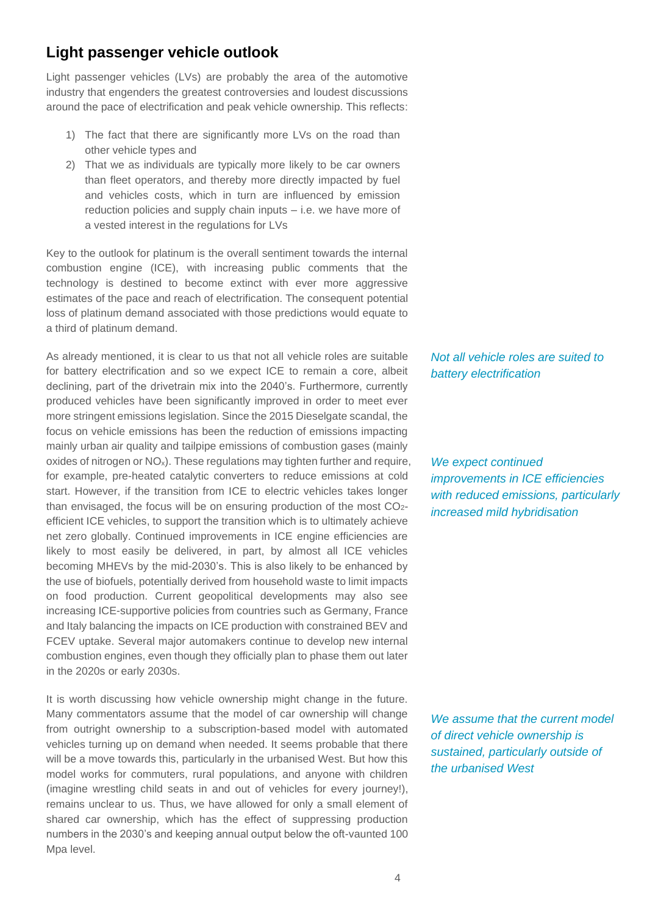## **Light passenger vehicle outlook**

Light passenger vehicles (LVs) are probably the area of the automotive industry that engenders the greatest controversies and loudest discussions around the pace of electrification and peak vehicle ownership. This reflects:

- 1) The fact that there are significantly more LVs on the road than other vehicle types and
- 2) That we as individuals are typically more likely to be car owners than fleet operators, and thereby more directly impacted by fuel and vehicles costs, which in turn are influenced by emission reduction policies and supply chain inputs – i.e. we have more of a vested interest in the regulations for LVs

Key to the outlook for platinum is the overall sentiment towards the internal combustion engine (ICE), with increasing public comments that the technology is destined to become extinct with ever more aggressive estimates of the pace and reach of electrification. The consequent potential loss of platinum demand associated with those predictions would equate to a third of platinum demand.

As already mentioned, it is clear to us that not all vehicle roles are suitable for battery electrification and so we expect ICE to remain a core, albeit declining, part of the drivetrain mix into the 2040's. Furthermore, currently produced vehicles have been significantly improved in order to meet ever more stringent emissions legislation. Since the 2015 Dieselgate scandal, the focus on vehicle emissions has been the reduction of emissions impacting mainly urban air quality and tailpipe emissions of combustion gases (mainly oxides of nitrogen or  $NO_x$ ). These regulations may tighten further and require, for example, pre-heated catalytic converters to reduce emissions at cold start. However, if the transition from ICE to electric vehicles takes longer than envisaged, the focus will be on ensuring production of the most  $CO<sub>2</sub>$ efficient ICE vehicles, to support the transition which is to ultimately achieve net zero globally. Continued improvements in ICE engine efficiencies are likely to most easily be delivered, in part, by almost all ICE vehicles becoming MHEVs by the mid-2030's. This is also likely to be enhanced by the use of biofuels, potentially derived from household waste to limit impacts on food production. Current geopolitical developments may also see increasing ICE-supportive policies from countries such as Germany, France and Italy balancing the impacts on ICE production with constrained BEV and FCEV uptake. Several major automakers continue to develop new internal combustion engines, even though they officially plan to phase them out later in the 2020s or early 2030s.

It is worth discussing how vehicle ownership might change in the future. Many commentators assume that the model of car ownership will change from outright ownership to a subscription-based model with automated vehicles turning up on demand when needed. It seems probable that there will be a move towards this, particularly in the urbanised West. But how this model works for commuters, rural populations, and anyone with children (imagine wrestling child seats in and out of vehicles for every journey!), remains unclear to us. Thus, we have allowed for only a small element of shared car ownership, which has the effect of suppressing production numbers in the 2030's and keeping annual output below the oft-vaunted 100 Mpa level.

*Not all vehicle roles are suited to battery electrification*

*We expect continued improvements in ICE efficiencies with reduced emissions, particularly increased mild hybridisation*

*We assume that the current model of direct vehicle ownership is sustained, particularly outside of the urbanised West*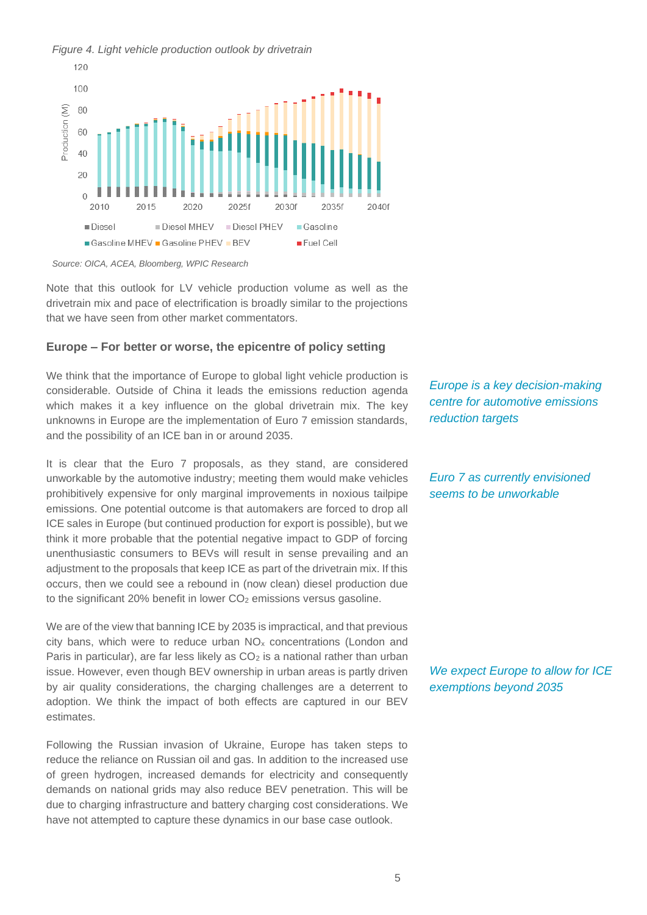#### *Figure 4. Light vehicle production outlook by drivetrain*



*Source: OICA, ACEA, Bloomberg, WPIC Research*

Note that this outlook for LV vehicle production volume as well as the drivetrain mix and pace of electrification is broadly similar to the projections that we have seen from other market commentators.

#### **Europe – For better or worse, the epicentre of policy setting**

We think that the importance of Europe to global light vehicle production is considerable. Outside of China it leads the emissions reduction agenda which makes it a key influence on the global drivetrain mix. The key unknowns in Europe are the implementation of Euro 7 emission standards, and the possibility of an ICE ban in or around 2035.

It is clear that the Euro 7 proposals, as they stand, are considered unworkable by the automotive industry; meeting them would make vehicles prohibitively expensive for only marginal improvements in noxious tailpipe emissions. One potential outcome is that automakers are forced to drop all ICE sales in Europe (but continued production for export is possible), but we think it more probable that the potential negative impact to GDP of forcing unenthusiastic consumers to BEVs will result in sense prevailing and an adjustment to the proposals that keep ICE as part of the drivetrain mix. If this occurs, then we could see a rebound in (now clean) diesel production due to the significant 20% benefit in lower CO<sub>2</sub> emissions versus gasoline.

We are of the view that banning ICE by 2035 is impractical, and that previous city bans, which were to reduce urban  $NO<sub>x</sub>$  concentrations (London and Paris in particular), are far less likely as  $CO<sub>2</sub>$  is a national rather than urban issue. However, even though BEV ownership in urban areas is partly driven by air quality considerations, the charging challenges are a deterrent to adoption. We think the impact of both effects are captured in our BEV estimates.

Following the Russian invasion of Ukraine, Europe has taken steps to reduce the reliance on Russian oil and gas. In addition to the increased use of green hydrogen, increased demands for electricity and consequently demands on national grids may also reduce BEV penetration. This will be due to charging infrastructure and battery charging cost considerations. We have not attempted to capture these dynamics in our base case outlook.

*Europe is a key decision-making centre for automotive emissions reduction targets*

*Euro 7 as currently envisioned seems to be unworkable*

*We expect Europe to allow for ICE exemptions beyond 2035*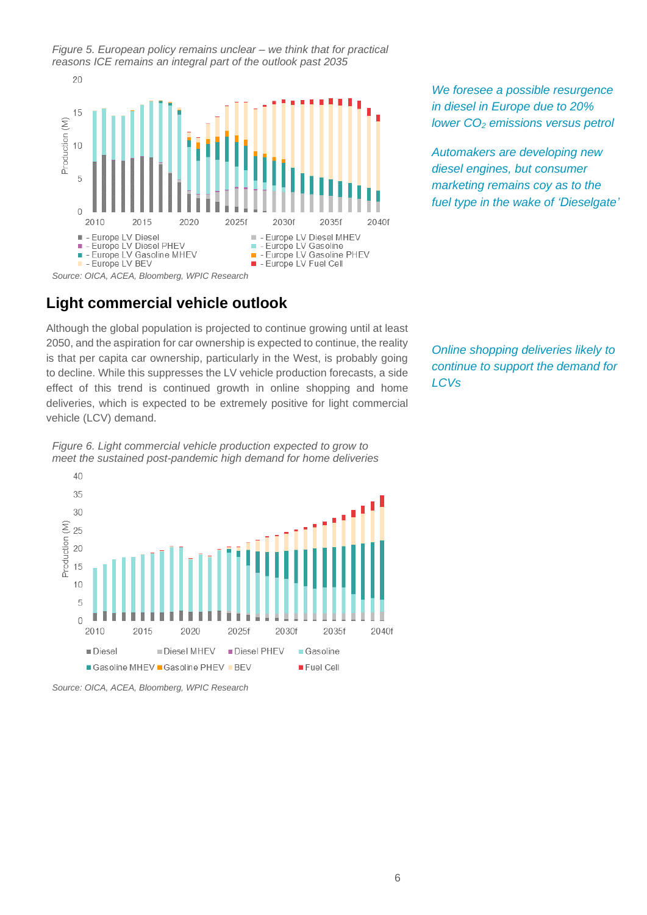*Figure 5. European policy remains unclear – we think that for practical reasons ICE remains an integral part of the outlook past 2035*



**Light commercial vehicle outlook**

Although the global population is projected to continue growing until at least 2050, and the aspiration for car ownership is expected to continue, the reality is that per capita car ownership, particularly in the West, is probably going to decline. While this suppresses the LV vehicle production forecasts, a side effect of this trend is continued growth in online shopping and home deliveries, which is expected to be extremely positive for light commercial vehicle (LCV) demand.

*Online shopping deliveries likely to continue to support the demand for LCVs*

*We foresee a possible resurgence in diesel in Europe due to 20% lower CO<sup>2</sup> emissions versus petrol*

*Automakers are developing new diesel engines, but consumer marketing remains coy as to the fuel type in the wake of 'Dieselgate'*



*Figure 6. Light commercial vehicle production expected to grow to meet the sustained post-pandemic high demand for home deliveries*

*Source: OICA, ACEA, Bloomberg, WPIC Research*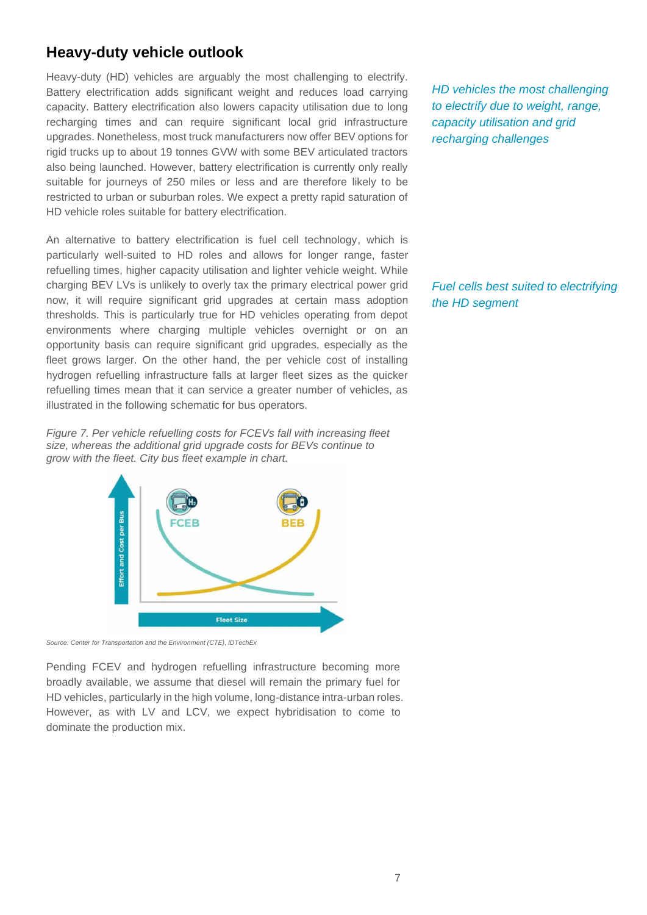## **Heavy-duty vehicle outlook**

Heavy-duty (HD) vehicles are arguably the most challenging to electrify. Battery electrification adds significant weight and reduces load carrying capacity. Battery electrification also lowers capacity utilisation due to long recharging times and can require significant local grid infrastructure upgrades. Nonetheless, most truck manufacturers now offer BEV options for rigid trucks up to about 19 tonnes GVW with some BEV articulated tractors also being launched. However, battery electrification is currently only really suitable for journeys of 250 miles or less and are therefore likely to be restricted to urban or suburban roles. We expect a pretty rapid saturation of HD vehicle roles suitable for battery electrification.

An alternative to battery electrification is fuel cell technology, which is particularly well-suited to HD roles and allows for longer range, faster refuelling times, higher capacity utilisation and lighter vehicle weight. While charging BEV LVs is unlikely to overly tax the primary electrical power grid now, it will require significant grid upgrades at certain mass adoption thresholds. This is particularly true for HD vehicles operating from depot environments where charging multiple vehicles overnight or on an opportunity basis can require significant grid upgrades, especially as the fleet grows larger. On the other hand, the per vehicle cost of installing hydrogen refuelling infrastructure falls at larger fleet sizes as the quicker refuelling times mean that it can service a greater number of vehicles, as illustrated in the following schematic for bus operators.

*Figure 7. Per vehicle refuelling costs for FCEVs fall with increasing fleet size, whereas the additional grid upgrade costs for BEVs continue to grow with the fleet. City bus fleet example in chart.*



*Source: Center for Transportation and the Environment (CTE), IDTechEx*

Pending FCEV and hydrogen refuelling infrastructure becoming more broadly available, we assume that diesel will remain the primary fuel for HD vehicles, particularly in the high volume, long-distance intra-urban roles. However, as with LV and LCV, we expect hybridisation to come to dominate the production mix.

*HD vehicles the most challenging to electrify due to weight, range, capacity utilisation and grid recharging challenges*

*Fuel cells best suited to electrifying the HD segment*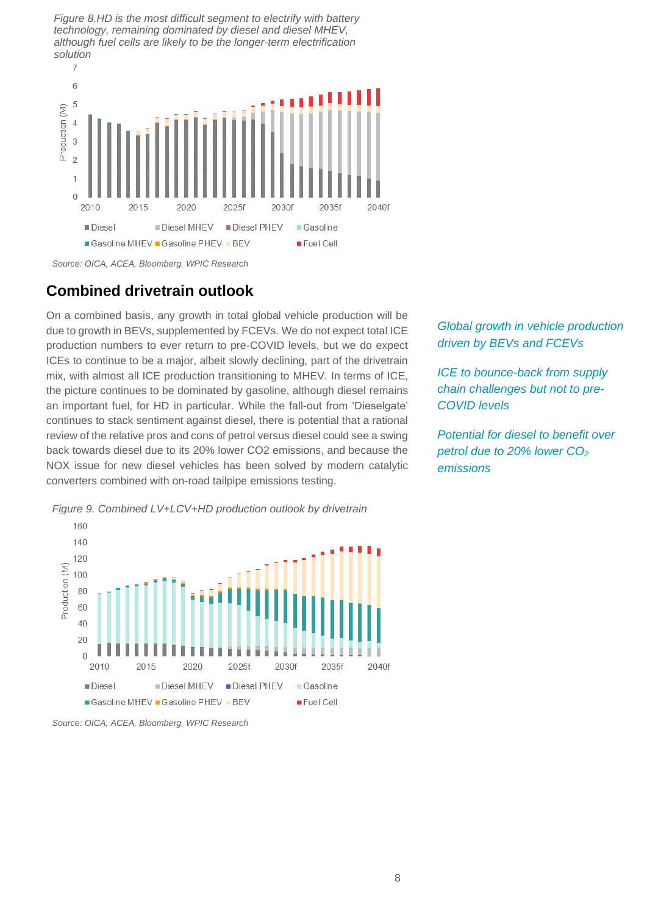*Figure 8.HD is the most difficult segment to electrify with battery technology, remaining dominated by diesel and diesel MHEV, although fuel cells are likely to be the longer-term electrification solution*



*Source: OICA, ACEA, Bloomberg, WPIC Research*

## **Combined drivetrain outlook**

On a combined basis, any growth in total global vehicle production will be due to growth in BEVs, supplemented by FCEVs. We do not expect total ICE production numbers to ever return to pre-COVID levels, but we do expect ICEs to continue to be a major, albeit slowly declining, part of the drivetrain mix, with almost all ICE production transitioning to MHEV. In terms of ICE, the picture continues to be dominated by gasoline, although diesel remains an important fuel, for HD in particular. While the fall-out from 'Dieselgate' continues to stack sentiment against diesel, there is potential that a rational review of the relative pros and cons of petrol versus diesel could see a swing back towards diesel due to its 20% lower CO2 emissions, and because the NOX issue for new diesel vehicles has been solved by modern catalytic converters combined with on-road tailpipe emissions testing.

*Global growth in vehicle production driven by BEVs and FCEVs*

*ICE to bounce-back from supply chain challenges but not to pre-COVID levels*

*Potential for diesel to benefit over petrol due to 20% lower CO<sup>2</sup> emissions*



*Figure 9. Combined LV+LCV+HD production outlook by drivetrain*

*Source: OICA, ACEA, Bloomberg, WPIC Research*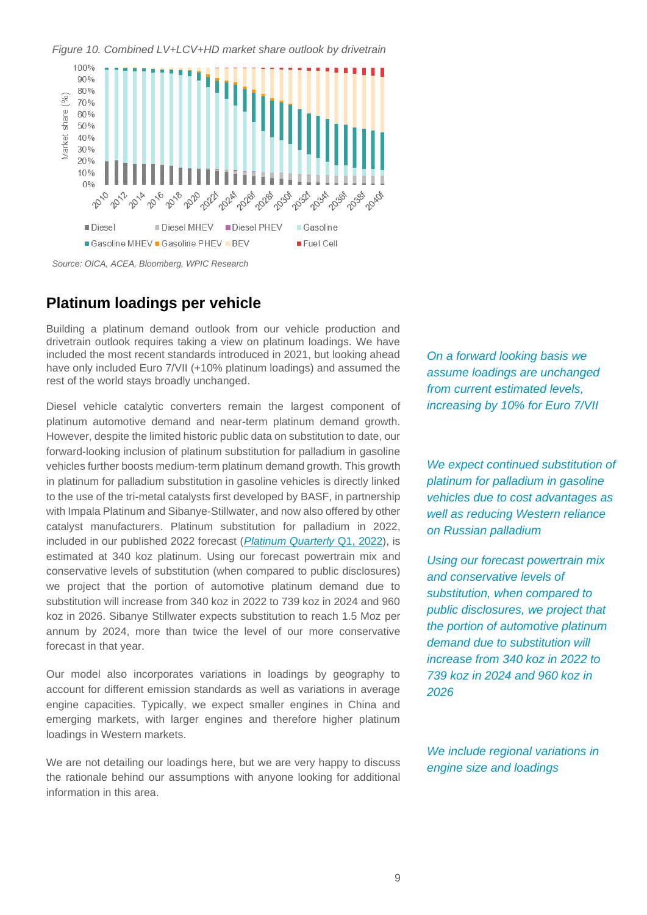*Figure 10. Combined LV+LCV+HD market share outlook by drivetrain*



*Source: OICA, ACEA, Bloomberg, WPIC Research*

### **Platinum loadings per vehicle**

Building a platinum demand outlook from our vehicle production and drivetrain outlook requires taking a view on platinum loadings. We have included the most recent standards introduced in 2021, but looking ahead have only included Euro 7/VII (+10% platinum loadings) and assumed the rest of the world stays broadly unchanged.

Diesel vehicle catalytic converters remain the largest component of platinum automotive demand and near-term platinum demand growth. However, despite the limited historic public data on substitution to date, our forward-looking inclusion of platinum substitution for palladium in gasoline vehicles further boosts medium-term platinum demand growth. This growth in platinum for palladium substitution in gasoline vehicles is directly linked to the use of the tri-metal catalysts first developed by BASF, in partnership with Impala Platinum and Sibanye-Stillwater, and now also offered by other catalyst manufacturers. Platinum substitution for palladium in 2022, included in our published 2022 forecast (*[Platinum Quarterly](https://platinuminvestment.com/files/329871/WPIC_Platinum_Quarterly_Q1_2022.pdf)* Q1, 2022), is estimated at 340 koz platinum. Using our forecast powertrain mix and conservative levels of substitution (when compared to public disclosures) we project that the portion of automotive platinum demand due to substitution will increase from 340 koz in 2022 to 739 koz in 2024 and 960 koz in 2026. Sibanye Stillwater expects substitution to reach 1.5 Moz per annum by 2024, more than twice the level of our more conservative forecast in that year.

Our model also incorporates variations in loadings by geography to account for different emission standards as well as variations in average engine capacities. Typically, we expect smaller engines in China and emerging markets, with larger engines and therefore higher platinum loadings in Western markets.

We are not detailing our loadings here, but we are very happy to discuss the rationale behind our assumptions with anyone looking for additional information in this area.

*On a forward looking basis we assume loadings are unchanged from current estimated levels, increasing by 10% for Euro 7/VII*

*We expect continued substitution of platinum for palladium in gasoline vehicles due to cost advantages as well as reducing Western reliance on Russian palladium*

*Using our forecast powertrain mix and conservative levels of substitution, when compared to public disclosures, we project that the portion of automotive platinum demand due to substitution will increase from 340 koz in 2022 to 739 koz in 2024 and 960 koz in 2026*

*We include regional variations in engine size and loadings*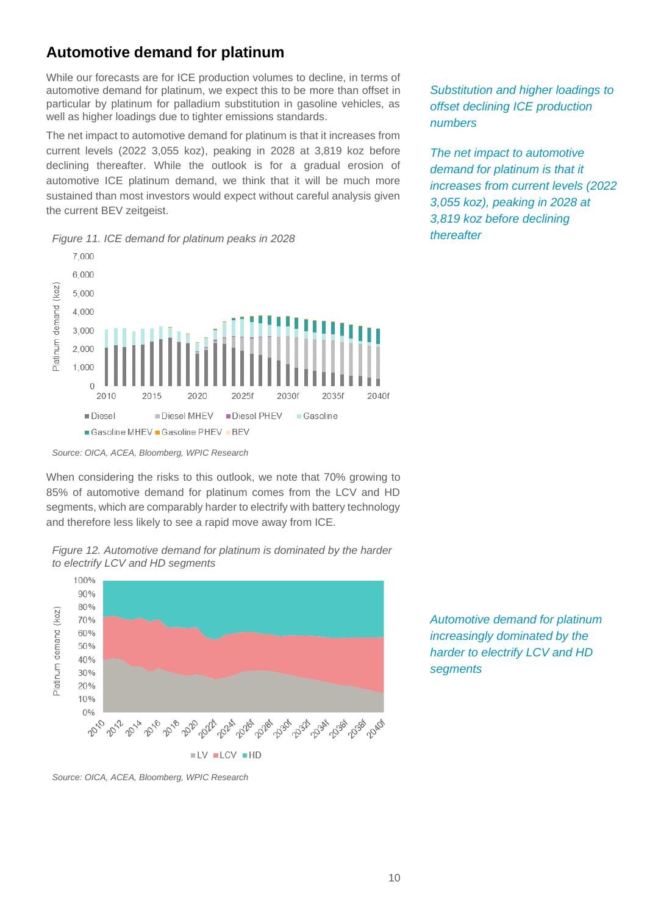## **Automotive demand for platinum**

While our forecasts are for ICE production volumes to decline, in terms of automotive demand for platinum, we expect this to be more than offset in particular by platinum for palladium substitution in gasoline vehicles, as well as higher loadings due to tighter emissions standards.

The net impact to automotive demand for platinum is that it increases from current levels (2022 3,055 koz), peaking in 2028 at 3,819 koz before declining thereafter. While the outlook is for a gradual erosion of automotive ICE platinum demand, we think that it will be much more sustained than most investors would expect without careful analysis given the current BEV zeitgeist.





*Source: OICA, ACEA, Bloomberg, WPIC Research*

When considering the risks to this outlook, we note that 70% growing to 85% of automotive demand for platinum comes from the LCV and HD segments, which are comparably harder to electrify with battery technology and therefore less likely to see a rapid move away from ICE.



 $UV$   $LCV$   $HD$ 

, ర్క్రీల్ ర్యూల్క్ రీజ్ <sup>ర్య</sup>ీల్క్ రీబ్లా రీజ్ <sup>రీ</sup>జ్ రీజ్ రీజ్

*Automotive demand for platinum increasingly dominated by the harder to electrify LCV and HD segments*

2016

50% 40%  $30%$ 20%  $10%$  $\Omega$ 

2010

*Substitution and higher loadings to offset declining ICE production numbers*

*The net impact to automotive demand for platinum is that it increases from current levels (2022 3,055 koz), peaking in 2028 at 3,819 koz before declining thereafter*

*Figure 12. Automotive demand for platinum is dominated by the harder to electrify LCV and HD segments*

*Source: OICA, ACEA, Bloomberg, WPIC Research*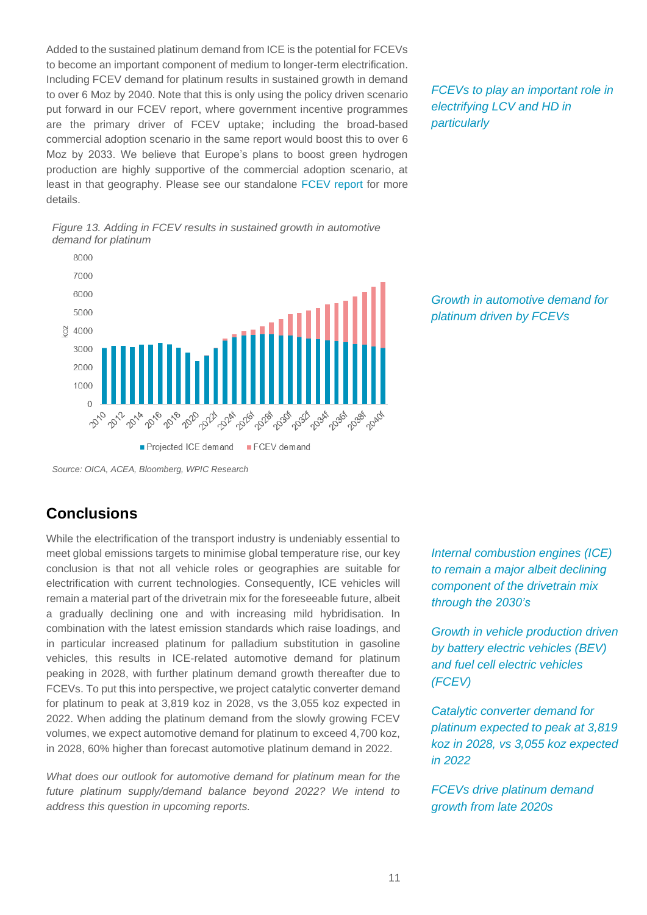Added to the sustained platinum demand from ICE is the potential for FCEVs to become an important component of medium to longer-term electrification. Including FCEV demand for platinum results in sustained growth in demand to over 6 Moz by 2040. Note that this is only using the policy driven scenario put forward in our FCEV report, where government incentive programmes are the primary driver of FCEV uptake; including the broad-based commercial adoption scenario in the same report would boost this to over 6 Moz by 2033. We believe that Europe's plans to boost green hydrogen production are highly supportive of the commercial adoption scenario, at least in that geography. Please see our standalone [FCEV report](https://platinuminvestment.com/files/438859/WPIC_Platinum_Essentials_March_2022%20(Potential%20FCEV%20demand).pdf) for more details.





## **Conclusions**

While the electrification of the transport industry is undeniably essential to meet global emissions targets to minimise global temperature rise, our key conclusion is that not all vehicle roles or geographies are suitable for electrification with current technologies. Consequently, ICE vehicles will remain a material part of the drivetrain mix for the foreseeable future, albeit a gradually declining one and with increasing mild hybridisation. In combination with the latest emission standards which raise loadings, and in particular increased platinum for palladium substitution in gasoline vehicles, this results in ICE-related automotive demand for platinum peaking in 2028, with further platinum demand growth thereafter due to FCEVs. To put this into perspective, we project catalytic converter demand for platinum to peak at 3,819 koz in 2028, vs the 3,055 koz expected in 2022. When adding the platinum demand from the slowly growing FCEV volumes, we expect automotive demand for platinum to exceed 4,700 koz, in 2028, 60% higher than forecast automotive platinum demand in 2022.

*What does our outlook for automotive demand for platinum mean for the future platinum supply/demand balance beyond 2022? We intend to address this question in upcoming reports.*

*FCEVs to play an important role in electrifying LCV and HD in particularly*

*Growth in automotive demand for platinum driven by FCEVs*

*Internal combustion engines (ICE) to remain a major albeit declining component of the drivetrain mix through the 2030's*

*Growth in vehicle production driven by battery electric vehicles (BEV) and fuel cell electric vehicles (FCEV)*

*Catalytic converter demand for platinum expected to peak at 3,819 koz in 2028, vs 3,055 koz expected in 2022*

*FCEVs drive platinum demand growth from late 2020s*

*Source: OICA, ACEA, Bloomberg, WPIC Research*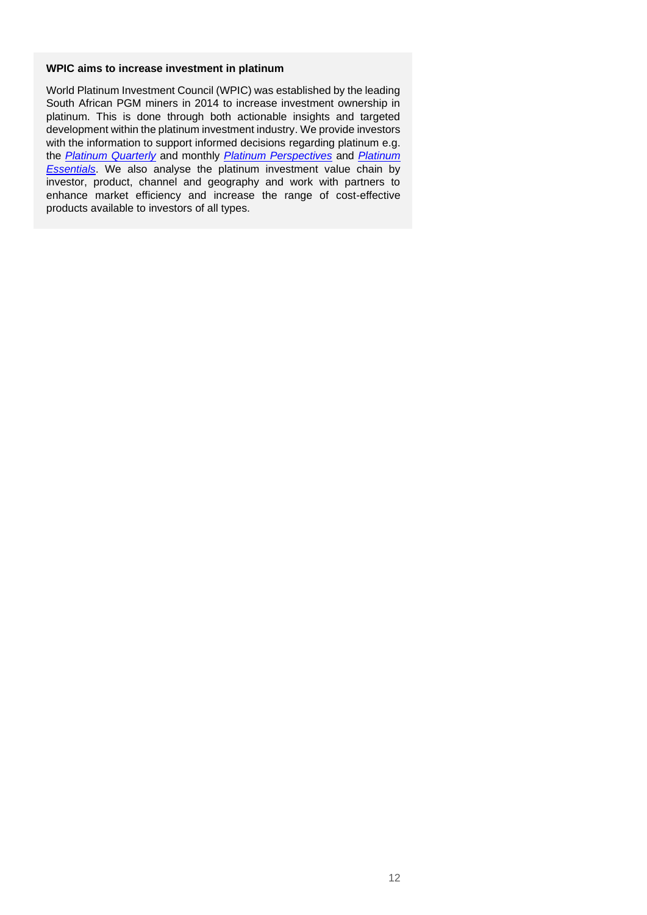#### **WPIC aims to increase investment in platinum**

World Platinum Investment Council (WPIC) was established by the leading South African PGM miners in 2014 to increase investment ownership in platinum. This is done through both actionable insights and targeted development within the platinum investment industry. We provide investors with the information to support informed decisions regarding platinum e.g. the *[Platinum Quarterly](https://platinuminvestment.com/supply-and-demand/platinum-quarterly)* and monthly *[Platinum Perspectives](https://platinuminvestment.com/investment-research/perspectives)* and *[Platinum](https://platinuminvestment.com/investment-research)  [Essentials](https://platinuminvestment.com/investment-research)*. We also analyse the platinum investment value chain by investor, product, channel and geography and work with partners to enhance market efficiency and increase the range of cost-effective products available to investors of all types.